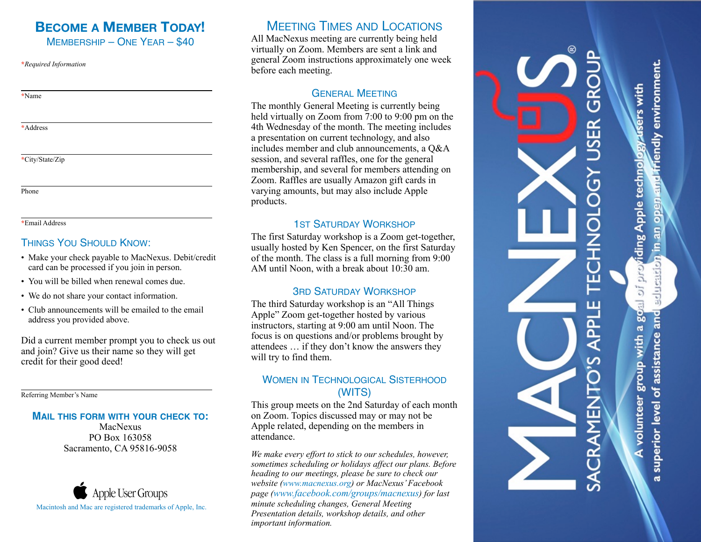### **BECOME A MEMBER TODAY!**  MEMBERSHIP – ONE YEAR – \$40

**\****Required Information*

**\***Name

**\***Address

**\***City/State/Zip

Phone

**\***Email Address

#### THINGS YOU SHOULD KNOW:

- Make your check payable to MacNexus. Debit/credit card can be processed if you join in person.
- You will be billed when renewal comes due.
- We do not share your contact information.
- Club announcements will be emailed to the email address you provided above.

Did a current member prompt you to check us out and join? Give us their name so they will get credit for their good deed!

Referring Member's Name

#### **MAIL THIS FORM WITH YOUR CHECK TO:**

MacNexus PO Box 163058 Sacramento, CA 95816-9058



## MEETING TIMES AND LOCATIONS

All MacNexus meeting are currently being held virtually on Zoom. Members are sent a link and general Zoom instructions approximately one week before each meeting.

#### GENERAL MEETING

The monthly General Meeting is currently being held virtually on Zoom from 7:00 to 9:00 pm on the 4th Wednesday of the month. The meeting includes a presentation on current technology, and also includes member and club announcements, a Q&A session, and several raffles, one for the general membership, and several for members attending on Zoom. Raffles are usually Amazon gift cards in varying amounts, but may also include Apple products.

#### **1ST SATURDAY WORKSHOP**

The first Saturday workshop is a Zoom get-together, usually hosted by Ken Spencer, on the first Saturday of the month. The class is a full morning from 9:00 AM until Noon, with a break about 10:30 am.

#### 3RD SATURDAY WORKSHOP

The third Saturday workshop is an "All Things Apple" Zoom get-together hosted by various instructors, starting at 9:00 am until Noon. The focus is on questions and/or problems brought by attendees … if they don't know the answers they will try to find them.

#### WOMEN IN TECHNOLOGICAL SISTERHOOD (WITS)

This group meets on the 2nd Saturday of each month on Zoom. Topics discussed may or may not be Apple related, depending on the members in attendance.

*We make every effort to stick to our schedules, however, sometimes scheduling or holidays affect our plans. Before heading to our meetings, please be sure to check our website ([www.macnexus.org\)](http://www.macnexus.org) or MacNexus' Facebook page ([www.facebook.com/groups/macnexus](https://www.facebook.com/groups/macnexus)) for last minute scheduling changes, General Meeting Presentation details, workshop details, and other important information.*

# ں<br>ت  $\mathbf{R}$  $\overline{a}$ ιī 니<br>PL 冚

education in an open and friendly environment.

iding Apple technology users with

ğ

 $\overline{5}$ 

 $g_{\text{Oall}}$ 

superior level of assistance and A volunteer group with a

ä